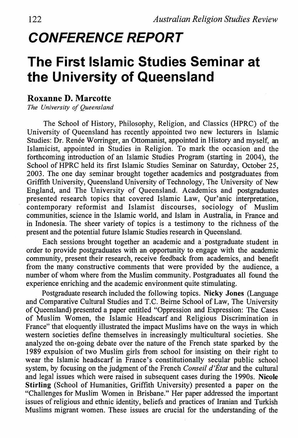## *CONFERENCE REPORT*

## **The First Islamic Studies Seminar at the University of Queensland**

## **Roxanne D. Marcotte**

*The University of Queensland* 

The School of History, Philosophy, Religion, and Classics (HPRC) of the University of Queensland has recently appointed two new lecturers in Islamic Studies: Dr. Renée Worringer, an Ottomanist, appointed in History and myself, an Islamicist, appointed in Studies in Religion. To mark the occasion and the forthcoming introduction of an Islamic Studies Program (starting in 2004), the School of HPRC held its first Islamic Studies Seminar on Saturday, October 25, 2003. The one day seminar brought together academics and postgraduates from Griffith University, Queensland University of Technology, The University of New England, and The University of Queensland. Academics and postgraduates presented research topics that covered Islamic Law, Qur'anic interpretation, contemporary reformist and Islamist discourses, sociology of Muslim communities, science in the Islamic world, and Islam in Australia, in France and in Indonesia. The sheer variety of topics is a testimony to the richness of the present and the potential future Islamic Studies research in Queensland.

Each sessions brought together an academic and a· postgraduate student in order to provide postgraduates with an opportunity to engage with the academic community, present their research, receive feedback from academics, and benefit from the many constructive comments that were provided by the audience, a number of whom where from the Muslim community. Postgraduates all found the experience enriching and the academic environment quite stimulating.

Postgraduate research included the following topics. **Nicky Jones** (Language and Comparative Cultural Studies and T.C. Beirne School of Law, The University of Queensland) presented a paper entitled "Oppression and Expression: The Cases of Muslim Women, the Islamic Headscarf and Religious Discrimination in France" that eloquently illustrated the impact Muslims have on the ways in which western societies define themselves in increasingly multicultural societies. She analyzed the on-going debate over the nature of the French state sparked by the 1989 expulsion of two Muslim girls from school for insisting on their right to wear the Islamic headscarf in France's constitutionally secular public school system, by focusing on the judgment of the French *Conseil d'Etat* and the cultural and legal issues which were raised in subsequent cases during the 1990s. **Nicole Stirling** (School of Humanities, Griffith University) presented a paper on the "Challenges for Muslim Women in Brisbane." Her paper addressed the important issues of religious and ethnic identity, beliefs and practices of Iranian and Turkish Muslims migrant women. These issues are crucial for the understanding of the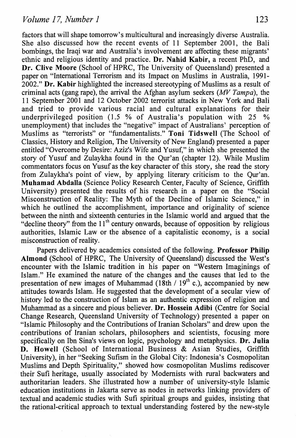factors that will shape tomorrow's multicultural and increasingly diverse Australia. She also discussed how the recent events of 11 September 2001, the Bali bombings, the Iraqi war and Australia's involvement are affecting these migrants' ethnic and religious identity and practice. **Dr. Nahid Kabir,** a recent PhD, and **Dr. Clive Moore** (School of HPRC, The University of Queensland) presented a paper on "International Terrorism and its Impact on Muslims in Australia, 1991- 2002." **Dr. Kabir** highlighted the increased stereotyping of Muslims as a result of criminal acts (gang rape), the arrival the Afghan asylum seekers *(MV Tampa),* the 11 September 2001 and 12 October 2002 terrorist attacks in New York and Bali and tried to provide various racial and cultural explanations for their underprivileged position (1.5 % of Australia's population with 25 % unemployment) that includes the "negative" impact of Australians' perception of Muslims as "terrorists" or "fundamentalists." **Toni Tidswell** (The School of Classics, History and Religion, The University of New England) presented a paper entitled "Overcome by Desire: Aziz's Wife and Yusuf," in which she presented the story of Yusuf and Zulaykha found in the Qur'an (chapter 12). While Muslim commentators focus on Yusuf as the key character of this story, she read the story from Zulaykha's point of view, by applying literary criticism to the Qur'an. **Muhamad Abdalla** (Science Policy Research Center, Faculty of Science, Griffith University) presented the results of his research in a paper on the "Social Misconstruction of Reality: The Myth of the Decline of Islamic Science," in which he outlined the accomplishment, importance and originality of science between the ninth and sixteenth centuries in the Islamic world and argued that the "decline theory" from the  $11<sup>th</sup>$  century onwards, because of opposition by religious authorities, Islamic Law or the absence of a capitalistic economy, is a social misconstruction of reality.

Papers delivered by academics consisted of the following. **Professor Philip Almond** (School of HPRC, The University of Queensland) discussed the West's encounter with the Islamic tradition in his paper on "Western Imaginings of Islam." He examined the nature of the changes and the causes that led to the presentation of new images of Muhammad (18th /  $19<sup>th</sup>$  c.), accompanied by new attitudes towards Islam. He suggested that the development of a secular view of history led to the construction of Islam as an authentic expression of religion and Muhammad as a sincere and pious believer. **Dr. Hossein Adibi** (Centre for Social Change Research, Queensland University of Technology) presented a paper on "Islamic Philosophy and the Contributions of Iranian Scholars" and drew upon the contributions of Iranian scholars, philosophers and scientists, focusing more specifically on Ibn Sina's views on logic, psychology and metaphysics. **Dr. Julia D. Howell** (School of International Business & Asian Studies, Griffith University), in her "Seeking Sufism in the Global City: Indonesia's Cosmopolitan Muslims and Depth Spirituality," showed how cosmopolitan Muslims rediscover their Sufi heritage, usually associated by Modernists with rural backwaters and authoritarian leaders. She illustrated how a number of university-style Islamic education institutions in Jakarta serve as nodes in networks linking providers of textual and academic studies with Sufi spiritual groups and guides, insisting that the rational-critical approach to textual understanding fostered by the new-style